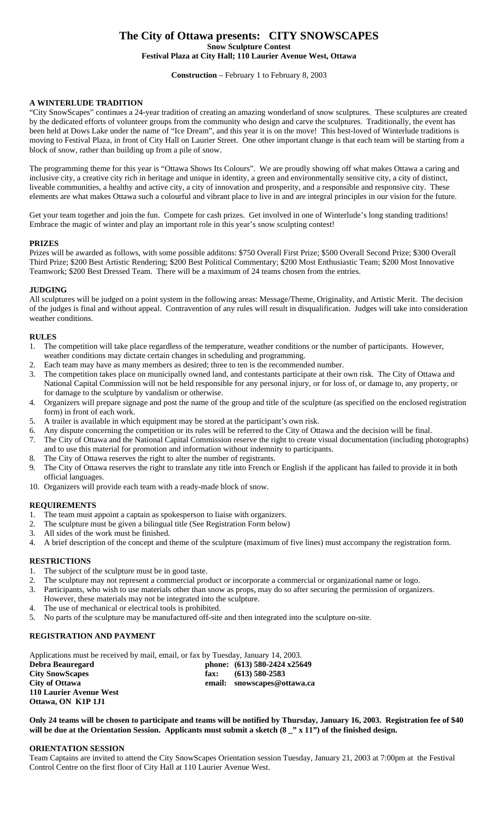### **The City of Ottawa presents: CITY SNOWSCAPES Snow Sculpture Contest**

### **Festival Plaza at City Hall; 110 Laurier Avenue West, Ottawa**

# **Construction** – February 1 to February 8, 2003

# **A WINTERLUDE TRADITION**

"City SnowScapes" continues a 24-year tradition of creating an amazing wonderland of snow sculptures. These sculptures are created by the dedicated efforts of volunteer groups from the community who design and carve the sculptures. Traditionally, the event has been held at Dows Lake under the name of "Ice Dream", and this year it is on the move! This best-loved of Winterlude traditions is moving to Festival Plaza, in front of City Hall on Laurier Street. One other important change is that each team will be starting from a block of snow, rather than building up from a pile of snow.

The programming theme for this year is "Ottawa Shows Its Colours". We are proudly showing off what makes Ottawa a caring and inclusive city, a creative city rich in heritage and unique in identity, a green and environmentally sensitive city, a city of distinct, liveable communities, a healthy and active city, a city of innovation and prosperity, and a responsible and responsive city. These elements are what makes Ottawa such a colourful and vibrant place to live in and are integral principles in our vision for the future.

Get your team together and join the fun. Compete for cash prizes. Get involved in one of Winterlude's long standing traditions! Embrace the magic of winter and play an important role in this year's snow sculpting contest!

#### **PRIZES**

Prizes will be awarded as follows, with some possible additons: \$750 Overall First Prize; \$500 Overall Second Prize; \$300 Overall Third Prize; \$200 Best Artistic Rendering; \$200 Best Political Commentary; \$200 Most Enthusiastic Team; \$200 Most Innovative Teamwork; \$200 Best Dressed Team. There will be a maximum of 24 teams chosen from the entries.

#### **JUDGING**

All sculptures will be judged on a point system in the following areas: Message/Theme, Originality, and Artistic Merit. The decision of the judges is final and without appeal. Contravention of any rules will result in disqualification. Judges will take into consideration weather conditions.

### **RULES**

- 1. The competition will take place regardless of the temperature, weather conditions or the number of participants. However, weather conditions may dictate certain changes in scheduling and programming.
- 2. Each team may have as many members as desired; three to ten is the recommended number.
- 3. The competition takes place on municipally owned land, and contestants participate at their own risk. The City of Ottawa and National Capital Commission will not be held responsible for any personal injury, or for loss of, or damage to, any property, or for damage to the sculpture by vandalism or otherwise.
- 4. Organizers will prepare signage and post the name of the group and title of the sculpture (as specified on the enclosed registration form) in front of each work.
- 5. A trailer is available in which equipment may be stored at the participant's own risk.
- 6. Any dispute concerning the competition or its rules will be referred to the City of Ottawa and the decision will be final.
- 7. The City of Ottawa and the National Capital Commission reserve the right to create visual documentation (including photographs) and to use this material for promotion and information without indemnity to participants.
- 8. The City of Ottawa reserves the right to alter the number of registrants.
- 9. The City of Ottawa reserves the right to translate any title into French or English if the applicant has failed to provide it in both official languages.
- 10. Organizers will provide each team with a ready-made block of snow.

#### **REQUIREMENTS**

- 1. The team must appoint a captain as spokesperson to liaise with organizers.
- 2. The sculpture must be given a bilingual title (See Registration Form below)
- 3. All sides of the work must be finished.
- 4. A brief description of the concept and theme of the sculpture (maximum of five lines) must accompany the registration form.

#### **RESTRICTIONS**

- 1. The subject of the sculpture must be in good taste.
- 2. The sculpture may not represent a commercial product or incorporate a commercial or organizational name or logo.
- 3. Participants, who wish to use materials other than snow as props, may do so after securing the permission of organizers.
- However, these materials may not be integrated into the sculpture.
- 4. The use of mechanical or electrical tools is prohibited.
- 5. No parts of the sculpture may be manufactured off-site and then integrated into the sculpture on-site.

#### **REGISTRATION AND PAYMENT**

Applications must be received by mail, email, or fax by Tuesday, January 14, 2003. **Debra Beauregard phone:** (613) 580-2424 x25649 **City SnowScapes fax: (613) 580-2583 City of Ottawa email: snowscapes@ottawa.ca 110 Laurier Avenue West Ottawa, ON K1P 1J1**

**Only 24 teams will be chosen to participate and teams will be notified by Thursday, January 16, 2003. Registration fee of \$40 will be due at the Orientation Session. Applicants must submit a sketch (8 \_" x 11") of the finished design.**

#### **ORIENTATION SESSION**

Team Captains are invited to attend the City SnowScapes Orientation session Tuesday, January 21, 2003 at 7:00pm at the Festival Control Centre on the first floor of City Hall at 110 Laurier Avenue West.